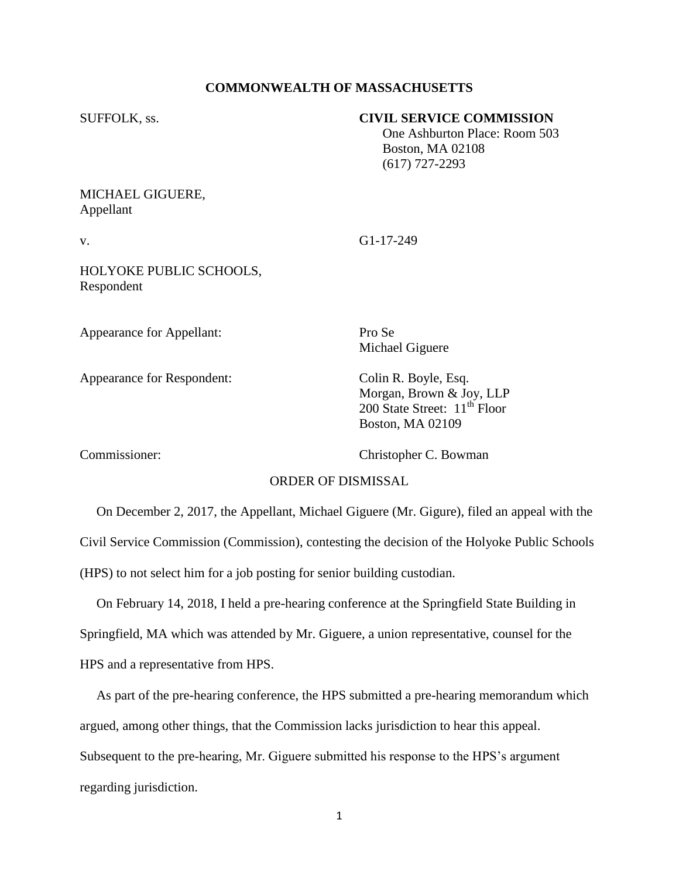## **COMMONWEALTH OF MASSACHUSETTS**

### SUFFOLK, ss. **CIVIL SERVICE COMMISSION**

 One Ashburton Place: Room 503 Boston, MA 02108 (617) 727-2293

# MICHAEL GIGUERE, Appellant

v. G1-17-249

HOLYOKE PUBLIC SCHOOLS, Respondent

Appearance for Appellant: Pro Se

Appearance for Respondent: Colin R. Boyle, Esq.

Michael Giguere

Morgan, Brown & Joy, LLP 200 State Street:  $11<sup>th</sup>$  Floor Boston, MA 02109

Commissioner: Christopher C. Bowman

## ORDER OF DISMISSAL

 On December 2, 2017, the Appellant, Michael Giguere (Mr. Gigure), filed an appeal with the Civil Service Commission (Commission), contesting the decision of the Holyoke Public Schools (HPS) to not select him for a job posting for senior building custodian.

 On February 14, 2018, I held a pre-hearing conference at the Springfield State Building in Springfield, MA which was attended by Mr. Giguere, a union representative, counsel for the HPS and a representative from HPS.

 As part of the pre-hearing conference, the HPS submitted a pre-hearing memorandum which argued, among other things, that the Commission lacks jurisdiction to hear this appeal. Subsequent to the pre-hearing, Mr. Giguere submitted his response to the HPS's argument regarding jurisdiction.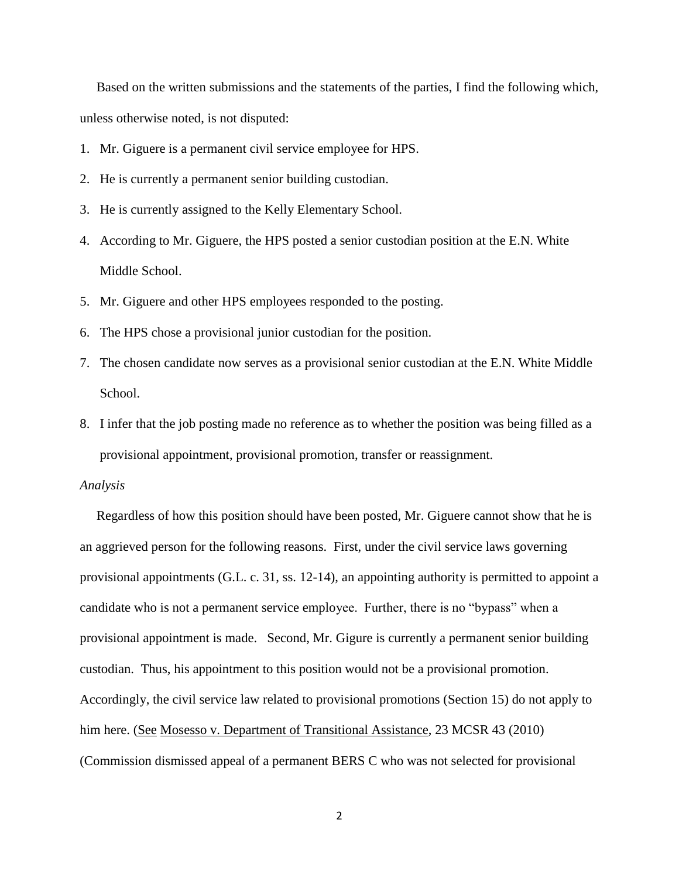Based on the written submissions and the statements of the parties, I find the following which, unless otherwise noted, is not disputed:

- 1. Mr. Giguere is a permanent civil service employee for HPS.
- 2. He is currently a permanent senior building custodian.
- 3. He is currently assigned to the Kelly Elementary School.
- 4. According to Mr. Giguere, the HPS posted a senior custodian position at the E.N. White Middle School.
- 5. Mr. Giguere and other HPS employees responded to the posting.
- 6. The HPS chose a provisional junior custodian for the position.
- 7. The chosen candidate now serves as a provisional senior custodian at the E.N. White Middle School.
- 8. I infer that the job posting made no reference as to whether the position was being filled as a provisional appointment, provisional promotion, transfer or reassignment.

#### *Analysis*

 Regardless of how this position should have been posted, Mr. Giguere cannot show that he is an aggrieved person for the following reasons. First, under the civil service laws governing provisional appointments (G.L. c. 31, ss. 12-14), an appointing authority is permitted to appoint a candidate who is not a permanent service employee. Further, there is no "bypass" when a provisional appointment is made. Second, Mr. Gigure is currently a permanent senior building custodian. Thus, his appointment to this position would not be a provisional promotion. Accordingly, the civil service law related to provisional promotions (Section 15) do not apply to him here. (See Mosesso v. Department of Transitional Assistance, 23 MCSR 43 (2010) (Commission dismissed appeal of a permanent BERS C who was not selected for provisional